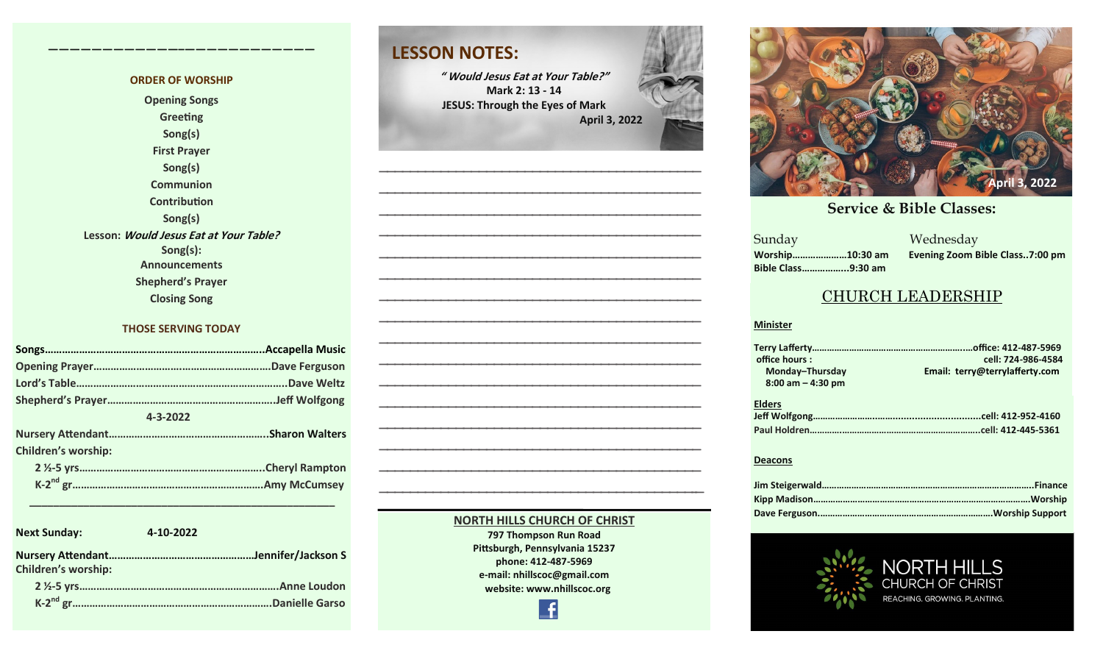### **ORDER OF WORSHIP Opening Songs Greeting Song(s) First Prayer Song(s) Communion Contribution Song(s) Lesson: Would Jesus Eat at Your Table? Song(s): Announcements Shepherd's Prayer**

**————————————–————————————**

**Closing Song**

#### **THOSE SERVING TODAY**

| 4-3-2022                   |  |
|----------------------------|--|
|                            |  |
| <b>Children's worship:</b> |  |
|                            |  |
|                            |  |

 **\_\_\_\_\_\_\_\_\_\_\_\_\_\_\_\_\_\_\_\_\_\_\_\_\_\_\_\_\_\_\_\_\_\_\_\_\_\_\_\_\_\_\_\_\_\_\_\_\_\_\_**

| <b>Next Sunday:</b>        | 4-10-2022       |
|----------------------------|-----------------|
| <b>Children's worship:</b> |                 |
|                            | Anne Loudon     |
|                            | Danielle Garso. |

### **LESSON NOTES:**

**" Would Jesus Eat at Your Table?" Mark 2: 13 - 14 JESUS: Through the Eyes of Mark April 3, 2022**



#### **NORTH HILLS CHURCH OF CHRIST**

**797 Thompson Run Road Pittsburgh, Pennsylvania 15237 phone: 412-487-5969 e-mail: nhillscoc@gmail.com website: www.nhillscoc.org** 

£



**December 22, 2017 October 29, 2017 November 5, 2017 November 12, 2017 November 26, 2017 December 24, 2017 January 7, 2017 January 7, 2017 February 21, 2021**

a a manazarta a shekarar 2011<br>Ne dhe a manazarta a manazarta a manazarta a manazarta a manazarta a manazarta a manazarta a manazarta a manaz<br>Ne da manazarta a manazarta a manazarta a manazarta a manazarta a manazarta a man **Sunday Bible Class……………...9:30 am**

**Worship…………………10:30 am Evening Zoom Bible Class..7:00 pm**

I S

### CHURCH LEADERSHIP

#### **Minister**

| office hours:        | cell: 724-986-4584             |
|----------------------|--------------------------------|
| Monday-Thursday      | Email: terry@terrylafferty.com |
| $8:00$ am $-4:30$ pm |                                |
|                      |                                |
| <b>Elders</b>        |                                |
|                      |                                |
|                      |                                |
|                      |                                |

#### **Deacons**